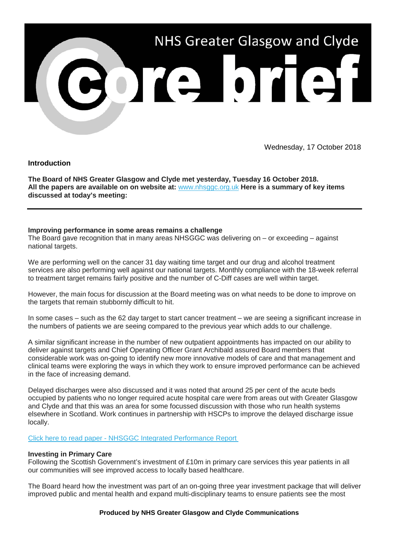

Wednesday, 17 October 2018

# **Introduction**

**The Board of NHS Greater Glasgow and Clyde met yesterday, Tuesday 16 October 2018. All the papers are available on on website at:** [www.nhsggc.org.uk](https://nhsggc.us12.list-manage.com/track/click?u=0f385b5aea37eaf0213bd19fb&id=8fbe1a92b9&e=5af5e1832c) **Here is a summary of key items discussed at today's meeting:**

# **Improving performance in some areas remains a challenge**

The Board gave recognition that in many areas NHSGGC was delivering on – or exceeding – against national targets.

We are performing well on the cancer 31 day waiting time target and our drug and alcohol treatment services are also performing well against our national targets. Monthly compliance with the 18-week referral to treatment target remains fairly positive and the number of C-Diff cases are well within target.

However, the main focus for discussion at the Board meeting was on what needs to be done to improve on the targets that remain stubbornly difficult to hit.

In some cases – such as the 62 day target to start cancer treatment – we are seeing a significant increase in the numbers of patients we are seeing compared to the previous year which adds to our challenge.

A similar significant increase in the number of new outpatient appointments has impacted on our ability to deliver against targets and Chief Operating Officer Grant Archibald assured Board members that considerable work was on-going to identify new more innovative models of care and that management and clinical teams were exploring the ways in which they work to ensure improved performance can be achieved in the face of increasing demand.

Delayed discharges were also discussed and it was noted that around 25 per cent of the acute beds occupied by patients who no longer required acute hospital care were from areas out with Greater Glasgow and Clyde and that this was an area for some focussed discussion with those who run health systems elsewhere in Scotland. Work continues in partnership with HSCPs to improve the delayed discharge issue locally.

# Click here to read paper - [NHSGGC Integrated Performance Report](https://nhsggc.us12.list-manage.com/track/click?u=0f385b5aea37eaf0213bd19fb&id=0776d45739&e=5af5e1832c)

# **Investing in Primary Care**

Following the Scottish Government's investment of £10m in primary care services this year patients in all our communities will see improved access to locally based healthcare.

The Board heard how the investment was part of an on-going three year investment package that will deliver improved public and mental health and expand multi-disciplinary teams to ensure patients see the most

# **Produced by NHS Greater Glasgow and Clyde Communications**